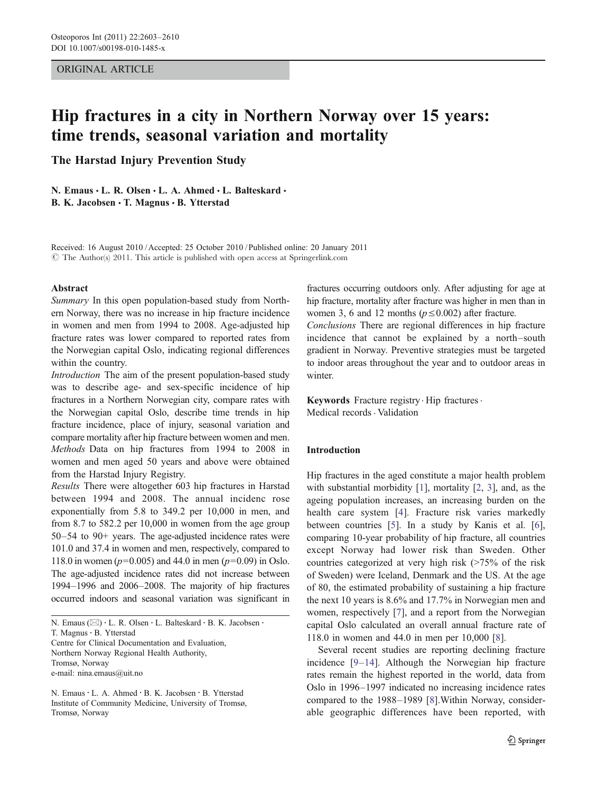## ORIGINAL ARTICLE

# Hip fractures in a city in Northern Norway over 15 years: time trends, seasonal variation and mortality

The Harstad Injury Prevention Study

N. Emaus · L. R. Olsen · L. A. Ahmed · L. Balteskard · B. K. Jacobsen · T. Magnus · B. Ytterstad

Received: 16 August 2010 /Accepted: 25 October 2010 / Published online: 20 January 2011  $\circled{c}$  The Author(s) 2011. This article is published with open access at Springerlink.com

#### Abstract

Summary In this open population-based study from Northern Norway, there was no increase in hip fracture incidence in women and men from 1994 to 2008. Age-adjusted hip fracture rates was lower compared to reported rates from the Norwegian capital Oslo, indicating regional differences within the country.

Introduction The aim of the present population-based study was to describe age- and sex-specific incidence of hip fractures in a Northern Norwegian city, compare rates with the Norwegian capital Oslo, describe time trends in hip fracture incidence, place of injury, seasonal variation and compare mortality after hip fracture between women and men. Methods Data on hip fractures from 1994 to 2008 in women and men aged 50 years and above were obtained from the Harstad Injury Registry.

Results There were altogether 603 hip fractures in Harstad between 1994 and 2008. The annual incidenc rose exponentially from 5.8 to 349.2 per 10,000 in men, and from 8.7 to 582.2 per 10,000 in women from the age group 50–54 to 90+ years. The age-adjusted incidence rates were 101.0 and 37.4 in women and men, respectively, compared to 118.0 in women ( $p=0.005$ ) and 44.0 in men ( $p=0.09$ ) in Oslo. The age-adjusted incidence rates did not increase between 1994–1996 and 2006–2008. The majority of hip fractures occurred indoors and seasonal variation was significant in

N. Emaus (⊠) · L. R. Olsen · L. Balteskard · B. K. Jacobsen · T. Magnus · B. Ytterstad Centre for Clinical Documentation and Evaluation, Northern Norway Regional Health Authority, Tromsø, Norway e-mail: nina.emaus@uit.no

N. Emaus: L. A. Ahmed : B. K. Jacobsen : B. Ytterstad Institute of Community Medicine, University of Tromsø, Tromsø, Norway

fractures occurring outdoors only. After adjusting for age at hip fracture, mortality after fracture was higher in men than in women 3, 6 and 12 months ( $p \le 0.002$ ) after fracture.

Conclusions There are regional differences in hip fracture incidence that cannot be explained by a north–south gradient in Norway. Preventive strategies must be targeted to indoor areas throughout the year and to outdoor areas in winter.

Keywords Fracture registry  $\cdot$  Hip fractures. Medical records · Validation

# Introduction

Hip fractures in the aged constitute a major health problem with substantial morbidity [\[1](#page-6-0)], mortality [\[2](#page-6-0), [3](#page-6-0)], and, as the ageing population increases, an increasing burden on the health care system [[4\]](#page-6-0). Fracture risk varies markedly between countries [[5\]](#page-6-0). In a study by Kanis et al. [[6\]](#page-6-0), comparing 10-year probability of hip fracture, all countries except Norway had lower risk than Sweden. Other countries categorized at very high risk (>75% of the risk of Sweden) were Iceland, Denmark and the US. At the age of 80, the estimated probability of sustaining a hip fracture the next 10 years is 8.6% and 17.7% in Norwegian men and women, respectively [[7\]](#page-6-0), and a report from the Norwegian capital Oslo calculated an overall annual fracture rate of 118.0 in women and 44.0 in men per 10,000 [[8\]](#page-6-0).

Several recent studies are reporting declining fracture incidence [[9](#page-6-0)–[14\]](#page-6-0). Although the Norwegian hip fracture rates remain the highest reported in the world, data from Oslo in 1996–1997 indicated no increasing incidence rates compared to the 1988–1989 [[8\]](#page-6-0).Within Norway, considerable geographic differences have been reported, with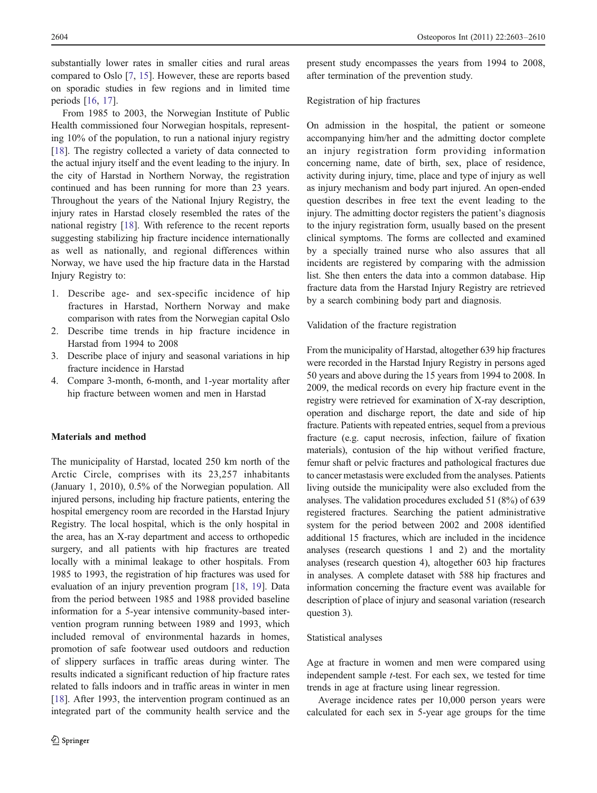substantially lower rates in smaller cities and rural areas compared to Oslo [\[7](#page-6-0), [15\]](#page-6-0). However, these are reports based on sporadic studies in few regions and in limited time periods [[16,](#page-6-0) [17](#page-6-0)].

From 1985 to 2003, the Norwegian Institute of Public Health commissioned four Norwegian hospitals, representing 10% of the population, to run a national injury registry [\[18](#page-6-0)]. The registry collected a variety of data connected to the actual injury itself and the event leading to the injury. In the city of Harstad in Northern Norway, the registration continued and has been running for more than 23 years. Throughout the years of the National Injury Registry, the injury rates in Harstad closely resembled the rates of the national registry [[18\]](#page-6-0). With reference to the recent reports suggesting stabilizing hip fracture incidence internationally as well as nationally, and regional differences within Norway, we have used the hip fracture data in the Harstad Injury Registry to:

- 1. Describe age- and sex-specific incidence of hip fractures in Harstad, Northern Norway and make comparison with rates from the Norwegian capital Oslo
- 2. Describe time trends in hip fracture incidence in Harstad from 1994 to 2008
- 3. Describe place of injury and seasonal variations in hip fracture incidence in Harstad
- 4. Compare 3-month, 6-month, and 1-year mortality after hip fracture between women and men in Harstad

# Materials and method

The municipality of Harstad, located 250 km north of the Arctic Circle, comprises with its 23,257 inhabitants (January 1, 2010), 0.5% of the Norwegian population. All injured persons, including hip fracture patients, entering the hospital emergency room are recorded in the Harstad Injury Registry. The local hospital, which is the only hospital in the area, has an X-ray department and access to orthopedic surgery, and all patients with hip fractures are treated locally with a minimal leakage to other hospitals. From 1985 to 1993, the registration of hip fractures was used for evaluation of an injury prevention program [[18,](#page-6-0) [19](#page-6-0)]. Data from the period between 1985 and 1988 provided baseline information for a 5-year intensive community-based intervention program running between 1989 and 1993, which included removal of environmental hazards in homes, promotion of safe footwear used outdoors and reduction of slippery surfaces in traffic areas during winter. The results indicated a significant reduction of hip fracture rates related to falls indoors and in traffic areas in winter in men [\[18](#page-6-0)]. After 1993, the intervention program continued as an integrated part of the community health service and the

present study encompasses the years from 1994 to 2008, after termination of the prevention study.

#### Registration of hip fractures

On admission in the hospital, the patient or someone accompanying him/her and the admitting doctor complete an injury registration form providing information concerning name, date of birth, sex, place of residence, activity during injury, time, place and type of injury as well as injury mechanism and body part injured. An open-ended question describes in free text the event leading to the injury. The admitting doctor registers the patient's diagnosis to the injury registration form, usually based on the present clinical symptoms. The forms are collected and examined by a specially trained nurse who also assures that all incidents are registered by comparing with the admission list. She then enters the data into a common database. Hip fracture data from the Harstad Injury Registry are retrieved by a search combining body part and diagnosis.

## Validation of the fracture registration

From the municipality of Harstad, altogether 639 hip fractures were recorded in the Harstad Injury Registry in persons aged 50 years and above during the 15 years from 1994 to 2008. In 2009, the medical records on every hip fracture event in the registry were retrieved for examination of X-ray description, operation and discharge report, the date and side of hip fracture. Patients with repeated entries, sequel from a previous fracture (e.g. caput necrosis, infection, failure of fixation materials), contusion of the hip without verified fracture, femur shaft or pelvic fractures and pathological fractures due to cancer metastasis were excluded from the analyses. Patients living outside the municipality were also excluded from the analyses. The validation procedures excluded 51 (8%) of 639 registered fractures. Searching the patient administrative system for the period between 2002 and 2008 identified additional 15 fractures, which are included in the incidence analyses (research questions 1 and 2) and the mortality analyses (research question 4), altogether 603 hip fractures in analyses. A complete dataset with 588 hip fractures and information concerning the fracture event was available for description of place of injury and seasonal variation (research question 3).

#### Statistical analyses

Age at fracture in women and men were compared using independent sample t-test. For each sex, we tested for time trends in age at fracture using linear regression.

Average incidence rates per 10,000 person years were calculated for each sex in 5-year age groups for the time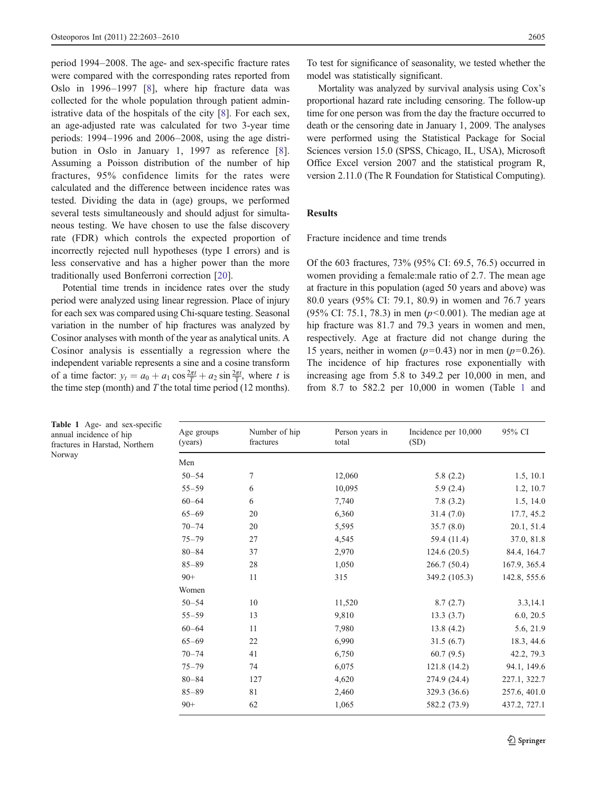period 1994–2008. The age- and sex-specific fracture rates were compared with the corresponding rates reported from Oslo in 1996–1997 [\[8](#page-6-0)], where hip fracture data was collected for the whole population through patient administrative data of the hospitals of the city [\[8](#page-6-0)]. For each sex, an age-adjusted rate was calculated for two 3-year time periods: 1994–1996 and 2006–2008, using the age distribution in Oslo in January 1, 1997 as reference [\[8](#page-6-0)]. Assuming a Poisson distribution of the number of hip fractures, 95% confidence limits for the rates were calculated and the difference between incidence rates was tested. Dividing the data in (age) groups, we performed several tests simultaneously and should adjust for simultaneous testing. We have chosen to use the false discovery rate (FDR) which controls the expected proportion of incorrectly rejected null hypotheses (type I errors) and is less conservative and has a higher power than the more traditionally used Bonferroni correction [[20\]](#page-6-0).

Potential time trends in incidence rates over the study period were analyzed using linear regression. Place of injury for each sex was compared using Chi-square testing. Seasonal variation in the number of hip fractures was analyzed by Cosinor analyses with month of the year as analytical units. A Cosinor analysis is essentially a regression where the independent variable represents a sine and a cosine transform of a time factor:  $y_t = a_0 + a_1 \cos \frac{2\pi t}{T} + a_2 \sin \frac{2\pi t}{T}$ , where t is the time step (month) and  $T$  the total time period (12 months).

To test for significance of seasonality, we tested whether the model was statistically significant.

Mortality was analyzed by survival analysis using Cox's proportional hazard rate including censoring. The follow-up time for one person was from the day the fracture occurred to death or the censoring date in January 1, 2009. The analyses were performed using the Statistical Package for Social Sciences version 15.0 (SPSS, Chicago, IL, USA), Microsoft Office Excel version 2007 and the statistical program R, version 2.11.0 (The R Foundation for Statistical Computing).

# Results

Fracture incidence and time trends

Of the 603 fractures, 73% (95% CI: 69.5, 76.5) occurred in women providing a female:male ratio of 2.7. The mean age at fracture in this population (aged 50 years and above) was 80.0 years (95% CI: 79.1, 80.9) in women and 76.7 years (95% CI: 75.1, 78.3) in men ( $p < 0.001$ ). The median age at hip fracture was 81.7 and 79.3 years in women and men, respectively. Age at fracture did not change during the 15 years, neither in women ( $p=0.43$ ) nor in men ( $p=0.26$ ). The incidence of hip fractures rose exponentially with increasing age from 5.8 to 349.2 per 10,000 in men, and from 8.7 to 582.2 per 10,000 in women (Table 1 and

| Age groups<br>(years) | Number of hip<br>fractures | Person years in<br>total | Incidence per 10,000<br>(SD) | 95% CI       |
|-----------------------|----------------------------|--------------------------|------------------------------|--------------|
| Men                   |                            |                          |                              |              |
| $50 - 54$             | $\tau$                     | 12,060                   | 5.8(2.2)                     | 1.5, 10.1    |
| $55 - 59$             | 6                          | 10,095                   | 5.9(2.4)                     | 1.2, 10.7    |
| $60 - 64$             | 6                          | 7,740                    | 7.8(3.2)                     | 1.5, 14.0    |
| $65 - 69$             | 20                         | 6,360                    | 31.4(7.0)                    | 17.7, 45.2   |
| $70 - 74$             | 20                         | 5,595                    | 35.7(8.0)                    | 20.1, 51.4   |
| $75 - 79$             | 27                         | 4,545                    | 59.4 (11.4)                  | 37.0, 81.8   |
| $80 - 84$             | 37                         | 2,970                    | 124.6(20.5)                  | 84.4, 164.7  |
| $85 - 89$             | 28                         | 1,050                    | 266.7(50.4)                  | 167.9, 365.4 |
| $90+$                 | 11                         | 315                      | 349.2 (105.3)                | 142.8, 555.6 |
| Women                 |                            |                          |                              |              |
| $50 - 54$             | 10                         | 11,520                   | 8.7(2.7)                     | 3.3, 14.1    |
| $55 - 59$             | 13                         | 9,810                    | 13.3(3.7)                    | 6.0, 20.5    |
| $60 - 64$             | 11                         | 7,980                    | 13.8(4.2)                    | 5.6, 21.9    |
| $65 - 69$             | 22                         | 6,990                    | 31.5(6.7)                    | 18.3, 44.6   |
| $70 - 74$             | 41                         | 6,750                    | 60.7(9.5)                    | 42.2, 79.3   |
| $75 - 79$             | 74                         | 6,075                    | 121.8 (14.2)                 | 94.1, 149.6  |
| $80 - 84$             | 127                        | 4,620                    | 274.9 (24.4)                 | 227.1, 322.7 |
| $85 - 89$             | 81                         | 2,460                    | 329.3 (36.6)                 | 257.6, 401.0 |
| $90+$                 | 62                         | 1,065                    | 582.2 (73.9)                 | 437.2, 727.1 |

|                         |  | Table 1 Age- and sex-specific  |
|-------------------------|--|--------------------------------|
| annual incidence of hip |  |                                |
|                         |  | fractures in Harstad, Northern |
| Norway                  |  |                                |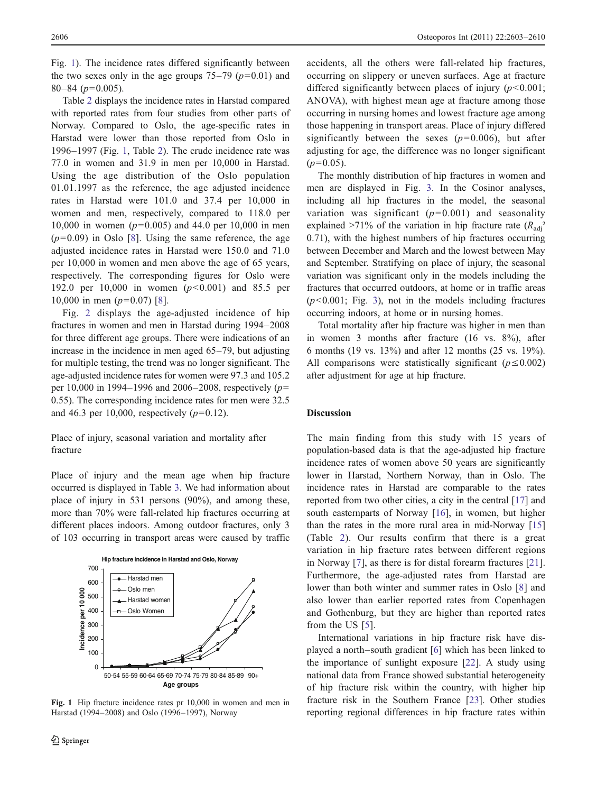Fig. 1). The incidence rates differed significantly between the two sexes only in the age groups  $75-79$  ( $p=0.01$ ) and  $80-84$  ( $p=0.005$ ).

Table [2](#page-4-0) displays the incidence rates in Harstad compared with reported rates from four studies from other parts of Norway. Compared to Oslo, the age-specific rates in Harstad were lower than those reported from Oslo in 1996–1997 (Fig. 1, Table [2\)](#page-4-0). The crude incidence rate was 77.0 in women and 31.9 in men per 10,000 in Harstad. Using the age distribution of the Oslo population 01.01.1997 as the reference, the age adjusted incidence rates in Harstad were 101.0 and 37.4 per 10,000 in women and men, respectively, compared to 118.0 per 10,000 in women ( $p=0.005$ ) and 44.0 per 10,000 in men  $(p=0.09)$  in Oslo [\[8](#page-6-0)]. Using the same reference, the age adjusted incidence rates in Harstad were 150.0 and 71.0 per 10,000 in women and men above the age of 65 years, respectively. The corresponding figures for Oslo were 192.0 per 10,000 in women  $(p<0.001)$  and 85.5 per 10,000 in men  $(p=0.07)$  [[8\]](#page-6-0).

Fig. [2](#page-4-0) displays the age-adjusted incidence of hip fractures in women and men in Harstad during 1994–2008 for three different age groups. There were indications of an increase in the incidence in men aged 65–79, but adjusting for multiple testing, the trend was no longer significant. The age-adjusted incidence rates for women were 97.3 and 105.2 per 10,000 in 1994–1996 and 2006–2008, respectively  $(p=$ 0.55). The corresponding incidence rates for men were 32.5 and 46.3 per 10,000, respectively  $(p=0.12)$ .

Place of injury, seasonal variation and mortality after fracture

Place of injury and the mean age when hip fracture occurred is displayed in Table [3](#page-4-0). We had information about place of injury in 531 persons (90%), and among these, more than 70% were fall-related hip fractures occurring at different places indoors. Among outdoor fractures, only 3 of 103 occurring in transport areas were caused by traffic



Fig. 1 Hip fracture incidence rates pr 10,000 in women and men in Harstad (1994–2008) and Oslo (1996–1997), Norway

accidents, all the others were fall-related hip fractures, occurring on slippery or uneven surfaces. Age at fracture differed significantly between places of injury  $(p<0.001)$ ; ANOVA), with highest mean age at fracture among those occurring in nursing homes and lowest fracture age among those happening in transport areas. Place of injury differed significantly between the sexes  $(p=0.006)$ , but after adjusting for age, the difference was no longer significant  $(p=0.05)$ .

The monthly distribution of hip fractures in women and men are displayed in Fig. [3.](#page-5-0) In the Cosinor analyses, including all hip fractures in the model, the seasonal variation was significant  $(p=0.001)$  and seasonality explained  $>71\%$  of the variation in hip fracture rate  $(R_{\text{adi}}^2)$ 0.71), with the highest numbers of hip fractures occurring between December and March and the lowest between May and September. Stratifying on place of injury, the seasonal variation was significant only in the models including the fractures that occurred outdoors, at home or in traffic areas  $(p<0.001$ ; Fig. [3](#page-5-0)), not in the models including fractures occurring indoors, at home or in nursing homes.

Total mortality after hip fracture was higher in men than in women 3 months after fracture (16 vs. 8%), after 6 months (19 vs. 13%) and after 12 months (25 vs. 19%). All comparisons were statistically significant ( $p \le 0.002$ ) after adjustment for age at hip fracture.

#### **Discussion**

The main finding from this study with 15 years of population-based data is that the age-adjusted hip fracture incidence rates of women above 50 years are significantly lower in Harstad, Northern Norway, than in Oslo. The incidence rates in Harstad are comparable to the rates reported from two other cities, a city in the central [[17\]](#page-6-0) and south easternparts of Norway [[16\]](#page-6-0), in women, but higher than the rates in the more rural area in mid-Norway [\[15](#page-6-0)] (Table [2](#page-4-0)). Our results confirm that there is a great variation in hip fracture rates between different regions in Norway [[7\]](#page-6-0), as there is for distal forearm fractures [\[21](#page-6-0)]. Furthermore, the age-adjusted rates from Harstad are lower than both winter and summer rates in Oslo [[8\]](#page-6-0) and also lower than earlier reported rates from Copenhagen and Gothenburg, but they are higher than reported rates from the US [[5](#page-6-0)].

International variations in hip fracture risk have displayed a north–south gradient [[6\]](#page-6-0) which has been linked to the importance of sunlight exposure [[22\]](#page-6-0). A study using national data from France showed substantial heterogeneity of hip fracture risk within the country, with higher hip fracture risk in the Southern France [\[23](#page-6-0)]. Other studies reporting regional differences in hip fracture rates within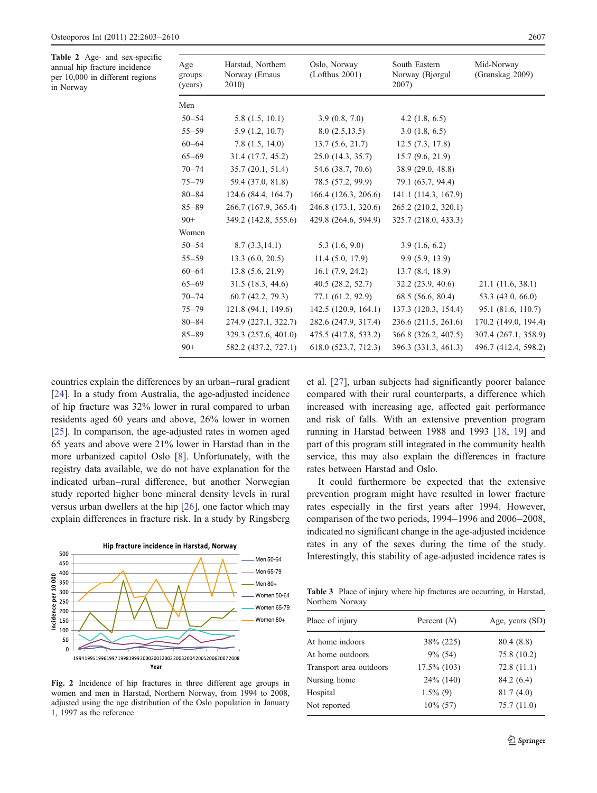<span id="page-4-0"></span>Table 2 Age- and sex-specific annual hip fracture incidence per 10,000 in different regions in Norway

| Age<br>groups<br>(years) | Harstad, Northern<br>Norway (Emaus<br>2010) | Oslo, Norway<br>(Lof thus 2001) | South Eastern<br>Norway (Bjørgul<br>2007) | Mid-Norway<br>(Grønskag 2009) |
|--------------------------|---------------------------------------------|---------------------------------|-------------------------------------------|-------------------------------|
| Men                      |                                             |                                 |                                           |                               |
| $50 - 54$                | 5.8(1.5, 10.1)                              | 3.9(0.8, 7.0)                   | 4.2 $(1.8, 6.5)$                          |                               |
| $55 - 59$                | 5.9(1.2, 10.7)                              | 8.0(2.5,13.5)                   | 3.0(1.8, 6.5)                             |                               |
| $60 - 64$                | 7.8(1.5, 14.0)                              | 13.7(5.6, 21.7)                 | 12.5(7.3, 17.8)                           |                               |
| $65 - 69$                | 31.4(17.7, 45.2)                            | 25.0(14.3, 35.7)                | 15.7(9.6, 21.9)                           |                               |
| $70 - 74$                | 35.7(20.1, 51.4)                            | 54.6 (38.7, 70.6)               | 38.9 (29.0, 48.8)                         |                               |
| $75 - 79$                | 59.4 (37.0, 81.8)                           | 78.5 (57.2, 99.9)               | 79.1 (63.7, 94.4)                         |                               |
| $80 - 84$                | 124.6(84.4, 164.7)                          | 166.4(126.3, 206.6)             | 141.1 (114.3, 167.9)                      |                               |
| $85 - 89$                | 266.7 (167.9, 365.4)                        | 246.8 (173.1, 320.6)            | 265.2 (210.2, 320.1)                      |                               |
| $90+$                    | 349.2 (142.8, 555.6)                        | 429.8 (264.6, 594.9)            | 325.7 (218.0, 433.3)                      |                               |
| Women                    |                                             |                                 |                                           |                               |
| $50 - 54$                | 8.7(3.3, 14.1)                              | 5.3(1.6, 9.0)                   | 3.9(1.6, 6.2)                             |                               |
| $55 - 59$                | 13.3(6.0, 20.5)                             | 11.4(5.0, 17.9)                 | 9.9(5.9, 13.9)                            |                               |
| $60 - 64$                | 13.8(5.6, 21.9)                             | 16.1(7.9, 24.2)                 | 13.7(8.4, 18.9)                           |                               |
| $65 - 69$                | 31.5(18.3, 44.6)                            | 40.5(28.2, 52.7)                | 32.2(23.9, 40.6)                          | 21.1(11.6, 38.1)              |
| $70 - 74$                | 60.7(42.2, 79.3)                            | 77.1 (61.2, 92.9)               | 68.5 (56.6, 80.4)                         | 53.3 (43.0, 66.0)             |
| $75 - 79$                | 121.8(94.1, 149.6)                          | 142.5(120.9, 164.1)             | 137.3 (120.3, 154.4)                      | 95.1 (81.6, 110.7)            |
| $80 - 84$                | 274.9 (227.1, 322.7)                        | 282.6 (247.9, 317.4)            | 236.6 (211.5, 261.6)                      | 170.2 (149.0, 194.4)          |
| $85 - 89$                | 329.3 (257.6, 401.0)                        | 475.5 (417.8, 533.2)            | 366.8 (326.2, 407.5)                      | 307.4 (267.1, 358.9)          |
| $90+$                    | 582.2 (437.2, 727.1)                        | 618.0 (523.7, 712.3)            | 396.3 (331.3, 461.3)                      | 496.7 (412.4, 598.2)          |

countries explain the differences by an urban–rural gradient [\[24](#page-6-0)]. In a study from Australia, the age-adjusted incidence of hip fracture was 32% lower in rural compared to urban residents aged 60 years and above, 26% lower in women [\[25](#page-6-0)]. In comparison, the age-adjusted rates in women aged 65 years and above were 21% lower in Harstad than in the more urbanized capitol Oslo [[8\]](#page-6-0). Unfortunately, with the registry data available, we do not have explanation for the indicated urban–rural difference, but another Norwegian study reported higher bone mineral density levels in rural versus urban dwellers at the hip [[26\]](#page-6-0), one factor which may explain differences in fracture risk. In a study by Ringsberg



Fig. 2 Incidence of hip fractures in three different age groups in women and men in Harstad, Northern Norway, from 1994 to 2008, adjusted using the age distribution of the Oslo population in January 1, 1997 as the reference

et al. [\[27](#page-6-0)], urban subjects had significantly poorer balance compared with their rural counterparts, a difference which increased with increasing age, affected gait performance and risk of falls. With an extensive prevention program running in Harstad between 1988 and 1993 [[18,](#page-6-0) [19](#page-6-0)] and part of this program still integrated in the community health service, this may also explain the differences in fracture rates between Harstad and Oslo.

It could furthermore be expected that the extensive prevention program might have resulted in lower fracture rates especially in the first years after 1994. However, comparison of the two periods, 1994–1996 and 2006–2008, indicated no significant change in the age-adjusted incidence rates in any of the sexes during the time of the study. Men 50-64 Interestingly, this stability of age-adjusted incidence rates is

Table 3 Place of injury where hip fractures are occurring, in Harstad, Northern Norway

| Place of injury         | Percent $(N)$  | Age, years (SD) |
|-------------------------|----------------|-----------------|
| At home indoors         | 38% (225)      | 80.4 (8.8)      |
| At home outdoors        | $9\%$ (54)     | 75.8 (10.2)     |
| Transport area outdoors | $17.5\%$ (103) | 72.8(11.1)      |
| Nursing home            | 24\% (140)     | 84.2 (6.4)      |
| Hospital                | $1.5\%$ (9)    | 81.7(4.0)       |
| Not reported            | $10\%$ (57)    | 75.7(11.0)      |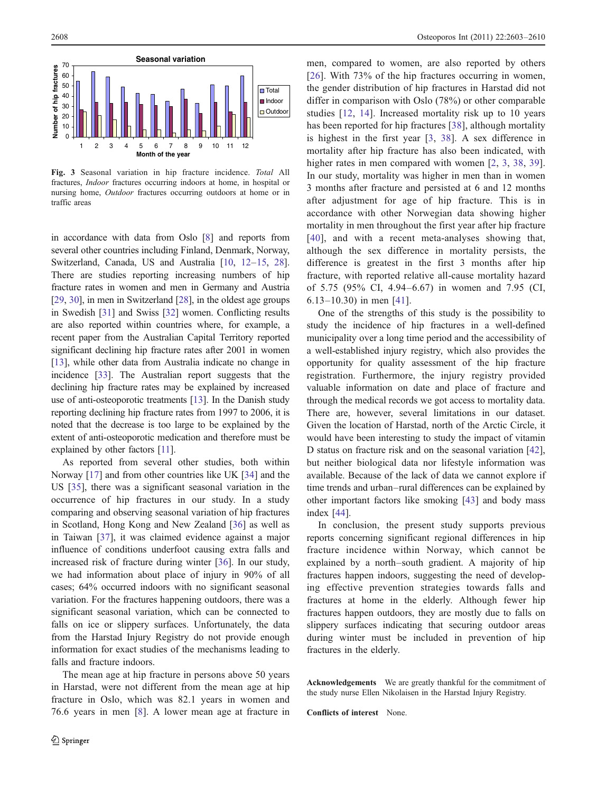<span id="page-5-0"></span>

Fig. 3 Seasonal variation in hip fracture incidence. Total All fractures, Indoor fractures occurring indoors at home, in hospital or nursing home, Outdoor fractures occurring outdoors at home or in traffic areas

in accordance with data from Oslo [\[8\]](#page-6-0) and reports from several other countries including Finland, Denmark, Norway, Switzerland, Canada, US and Australia [\[10,](#page-6-0) [12](#page-6-0)–[15,](#page-6-0) [28\]](#page-6-0). There are studies reporting increasing numbers of hip fracture rates in women and men in Germany and Austria [\[29,](#page-6-0) [30\]](#page-6-0), in men in Switzerland [\[28](#page-6-0)], in the oldest age groups in Swedish [[31\]](#page-6-0) and Swiss [\[32](#page-6-0)] women. Conflicting results are also reported within countries where, for example, a recent paper from the Australian Capital Territory reported significant declining hip fracture rates after 2001 in women [\[13\]](#page-6-0), while other data from Australia indicate no change in incidence [[33\]](#page-6-0). The Australian report suggests that the declining hip fracture rates may be explained by increased use of anti-osteoporotic treatments [[13\]](#page-6-0). In the Danish study reporting declining hip fracture rates from 1997 to 2006, it is noted that the decrease is too large to be explained by the extent of anti-osteoporotic medication and therefore must be explained by other factors [\[11\]](#page-6-0).

As reported from several other studies, both within Norway [[17\]](#page-6-0) and from other countries like UK [[34\]](#page-6-0) and the US [\[35](#page-6-0)], there was a significant seasonal variation in the occurrence of hip fractures in our study. In a study comparing and observing seasonal variation of hip fractures in Scotland, Hong Kong and New Zealand [\[36](#page-6-0)] as well as in Taiwan [[37\]](#page-6-0), it was claimed evidence against a major influence of conditions underfoot causing extra falls and increased risk of fracture during winter [[36\]](#page-6-0). In our study, we had information about place of injury in 90% of all cases; 64% occurred indoors with no significant seasonal variation. For the fractures happening outdoors, there was a significant seasonal variation, which can be connected to falls on ice or slippery surfaces. Unfortunately, the data from the Harstad Injury Registry do not provide enough information for exact studies of the mechanisms leading to falls and fracture indoors.

The mean age at hip fracture in persons above 50 years in Harstad, were not different from the mean age at hip fracture in Oslo, which was 82.1 years in women and 76.6 years in men [[8\]](#page-6-0). A lower mean age at fracture in men, compared to women, are also reported by others [\[26\]](#page-6-0). With 73% of the hip fractures occurring in women, the gender distribution of hip fractures in Harstad did not differ in comparison with Oslo (78%) or other comparable studies [[12,](#page-6-0) [14\]](#page-6-0). Increased mortality risk up to 10 years has been reported for hip fractures [[38\]](#page-7-0), although mortality is highest in the first year [[3,](#page-6-0) [38](#page-7-0)]. A sex difference in mortality after hip fracture has also been indicated, with higher rates in men compared with women [\[2](#page-6-0), [3](#page-6-0), [38](#page-7-0), [39](#page-7-0)]. In our study, mortality was higher in men than in women 3 months after fracture and persisted at 6 and 12 months after adjustment for age of hip fracture. This is in accordance with other Norwegian data showing higher mortality in men throughout the first year after hip fracture [[40\]](#page-7-0), and with a recent meta-analyses showing that, although the sex difference in mortality persists, the difference is greatest in the first 3 months after hip fracture, with reported relative all-cause mortality hazard of 5.75 (95% CI, 4.94–6.67) in women and 7.95 (CI, 6.13–10.30) in men [[41\]](#page-7-0).

One of the strengths of this study is the possibility to study the incidence of hip fractures in a well-defined municipality over a long time period and the accessibility of a well-established injury registry, which also provides the opportunity for quality assessment of the hip fracture registration. Furthermore, the injury registry provided valuable information on date and place of fracture and through the medical records we got access to mortality data. There are, however, several limitations in our dataset. Given the location of Harstad, north of the Arctic Circle, it would have been interesting to study the impact of vitamin D status on fracture risk and on the seasonal variation [[42\]](#page-7-0), but neither biological data nor lifestyle information was available. Because of the lack of data we cannot explore if time trends and urban–rural differences can be explained by other important factors like smoking [\[43](#page-7-0)] and body mass index [[44\]](#page-7-0).

In conclusion, the present study supports previous reports concerning significant regional differences in hip fracture incidence within Norway, which cannot be explained by a north–south gradient. A majority of hip fractures happen indoors, suggesting the need of developing effective prevention strategies towards falls and fractures at home in the elderly. Although fewer hip fractures happen outdoors, they are mostly due to falls on slippery surfaces indicating that securing outdoor areas during winter must be included in prevention of hip fractures in the elderly.

Acknowledgements We are greatly thankful for the commitment of the study nurse Ellen Nikolaisen in the Harstad Injury Registry.

Conflicts of interest None.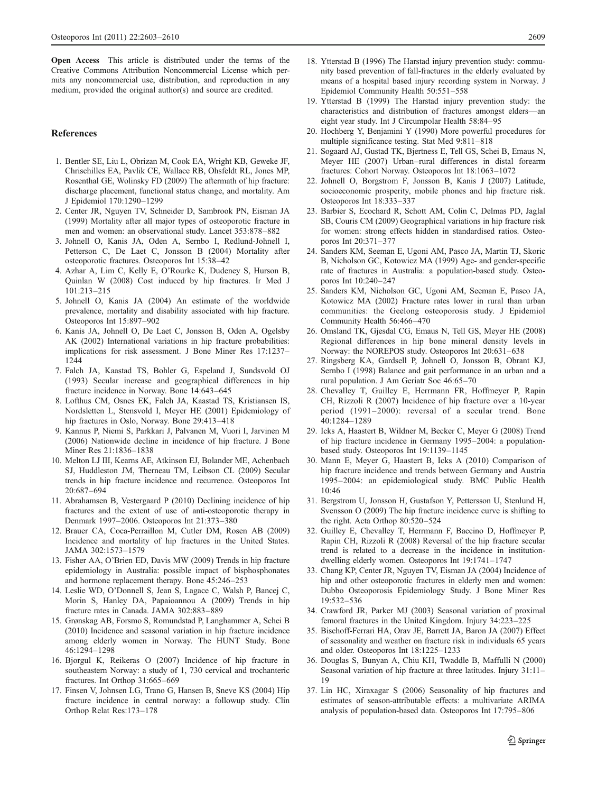<span id="page-6-0"></span>Open Access This article is distributed under the terms of the Creative Commons Attribution Noncommercial License which permits any noncommercial use, distribution, and reproduction in any medium, provided the original author(s) and source are credited.

#### References

- 1. Bentler SE, Liu L, Obrizan M, Cook EA, Wright KB, Geweke JF, Chrischilles EA, Pavlik CE, Wallace RB, Ohsfeldt RL, Jones MP, Rosenthal GE, Wolinsky FD (2009) The aftermath of hip fracture: discharge placement, functional status change, and mortality. Am J Epidemiol 170:1290–1299
- 2. Center JR, Nguyen TV, Schneider D, Sambrook PN, Eisman JA (1999) Mortality after all major types of osteoporotic fracture in men and women: an observational study. Lancet 353:878–882
- 3. Johnell O, Kanis JA, Oden A, Sernbo I, Redlund-Johnell I, Petterson C, De Laet C, Jonsson B (2004) Mortality after osteoporotic fractures. Osteoporos Int 15:38–42
- 4. Azhar A, Lim C, Kelly E, O'Rourke K, Dudeney S, Hurson B, Quinlan W (2008) Cost induced by hip fractures. Ir Med J 101:213–215
- 5. Johnell O, Kanis JA (2004) An estimate of the worldwide prevalence, mortality and disability associated with hip fracture. Osteoporos Int 15:897–902
- 6. Kanis JA, Johnell O, De Laet C, Jonsson B, Oden A, Ogelsby AK (2002) International variations in hip fracture probabilities: implications for risk assessment. J Bone Miner Res 17:1237– 1244
- 7. Falch JA, Kaastad TS, Bohler G, Espeland J, Sundsvold OJ (1993) Secular increase and geographical differences in hip fracture incidence in Norway. Bone 14:643–645
- 8. Lofthus CM, Osnes EK, Falch JA, Kaastad TS, Kristiansen IS, Nordsletten L, Stensvold I, Meyer HE (2001) Epidemiology of hip fractures in Oslo, Norway. Bone 29:413–418
- 9. Kannus P, Niemi S, Parkkari J, Palvanen M, Vuori I, Jarvinen M (2006) Nationwide decline in incidence of hip fracture. J Bone Miner Res 21:1836–1838
- 10. Melton LJ III, Kearns AE, Atkinson EJ, Bolander ME, Achenbach SJ, Huddleston JM, Therneau TM, Leibson CL (2009) Secular trends in hip fracture incidence and recurrence. Osteoporos Int 20:687–694
- 11. Abrahamsen B, Vestergaard P (2010) Declining incidence of hip fractures and the extent of use of anti-osteoporotic therapy in Denmark 1997–2006. Osteoporos Int 21:373–380
- 12. Brauer CA, Coca-Perraillon M, Cutler DM, Rosen AB (2009) Incidence and mortality of hip fractures in the United States. JAMA 302:1573–1579
- 13. Fisher AA, O'Brien ED, Davis MW (2009) Trends in hip fracture epidemiology in Australia: possible impact of bisphosphonates and hormone replacement therapy. Bone 45:246–253
- 14. Leslie WD, O'Donnell S, Jean S, Lagace C, Walsh P, Bancej C, Morin S, Hanley DA, Papaioannou A (2009) Trends in hip fracture rates in Canada. JAMA 302:883–889
- 15. Grønskag AB, Forsmo S, Romundstad P, Langhammer A, Schei B (2010) Incidence and seasonal variation in hip fracture incidence among elderly women in Norway. The HUNT Study. Bone 46:1294–1298
- 16. Bjorgul K, Reikeras O (2007) Incidence of hip fracture in southeastern Norway: a study of 1, 730 cervical and trochanteric fractures. Int Orthop 31:665–669
- 17. Finsen V, Johnsen LG, Trano G, Hansen B, Sneve KS (2004) Hip fracture incidence in central norway: a followup study. Clin Orthop Relat Res:173–178
- 18. Ytterstad B (1996) The Harstad injury prevention study: community based prevention of fall-fractures in the elderly evaluated by means of a hospital based injury recording system in Norway. J Epidemiol Community Health 50:551–558
- 19. Ytterstad B (1999) The Harstad injury prevention study: the characteristics and distribution of fractures amongst elders—an eight year study. Int J Circumpolar Health 58:84–95
- 20. Hochberg Y, Benjamini Y (1990) More powerful procedures for multiple significance testing. Stat Med 9:811–818
- 21. Sogaard AJ, Gustad TK, Bjertness E, Tell GS, Schei B, Emaus N, Meyer HE (2007) Urban–rural differences in distal forearm fractures: Cohort Norway. Osteoporos Int 18:1063–1072
- 22. Johnell O, Borgstrom F, Jonsson B, Kanis J (2007) Latitude, socioeconomic prosperity, mobile phones and hip fracture risk. Osteoporos Int 18:333–337
- 23. Barbier S, Ecochard R, Schott AM, Colin C, Delmas PD, Jaglal SB, Couris CM (2009) Geographical variations in hip fracture risk for women: strong effects hidden in standardised ratios. Osteoporos Int 20:371–377
- 24. Sanders KM, Seeman E, Ugoni AM, Pasco JA, Martin TJ, Skoric B, Nicholson GC, Kotowicz MA (1999) Age- and gender-specific rate of fractures in Australia: a population-based study. Osteoporos Int 10:240–247
- 25. Sanders KM, Nicholson GC, Ugoni AM, Seeman E, Pasco JA, Kotowicz MA (2002) Fracture rates lower in rural than urban communities: the Geelong osteoporosis study. J Epidemiol Community Health 56:466–470
- 26. Omsland TK, Gjesdal CG, Emaus N, Tell GS, Meyer HE (2008) Regional differences in hip bone mineral density levels in Norway: the NOREPOS study. Osteoporos Int 20:631–638
- 27. Ringsberg KA, Gardsell P, Johnell O, Jonsson B, Obrant KJ, Sernbo I (1998) Balance and gait performance in an urban and a rural population. J Am Geriatr Soc 46:65–70
- 28. Chevalley T, Guilley E, Herrmann FR, Hoffmeyer P, Rapin CH, Rizzoli R (2007) Incidence of hip fracture over a 10-year period (1991–2000): reversal of a secular trend. Bone 40:1284–1289
- 29. Icks A, Haastert B, Wildner M, Becker C, Meyer G (2008) Trend of hip fracture incidence in Germany 1995–2004: a populationbased study. Osteoporos Int 19:1139–1145
- 30. Mann E, Meyer G, Haastert B, Icks A (2010) Comparison of hip fracture incidence and trends between Germany and Austria 1995–2004: an epidemiological study. BMC Public Health 10:46
- 31. Bergstrom U, Jonsson H, Gustafson Y, Pettersson U, Stenlund H, Svensson O (2009) The hip fracture incidence curve is shifting to the right. Acta Orthop 80:520–524
- 32. Guilley E, Chevalley T, Herrmann F, Baccino D, Hoffmeyer P, Rapin CH, Rizzoli R (2008) Reversal of the hip fracture secular trend is related to a decrease in the incidence in institutiondwelling elderly women. Osteoporos Int 19:1741–1747
- 33. Chang KP, Center JR, Nguyen TV, Eisman JA (2004) Incidence of hip and other osteoporotic fractures in elderly men and women: Dubbo Osteoporosis Epidemiology Study. J Bone Miner Res 19:532–536
- 34. Crawford JR, Parker MJ (2003) Seasonal variation of proximal femoral fractures in the United Kingdom. Injury 34:223–225
- 35. Bischoff-Ferrari HA, Orav JE, Barrett JA, Baron JA (2007) Effect of seasonality and weather on fracture risk in individuals 65 years and older. Osteoporos Int 18:1225–1233
- 36. Douglas S, Bunyan A, Chiu KH, Twaddle B, Maffulli N (2000) Seasonal variation of hip fracture at three latitudes. Injury 31:11– 19
- 37. Lin HC, Xiraxagar S (2006) Seasonality of hip fractures and estimates of season-attributable effects: a multivariate ARIMA analysis of population-based data. Osteoporos Int 17:795–806